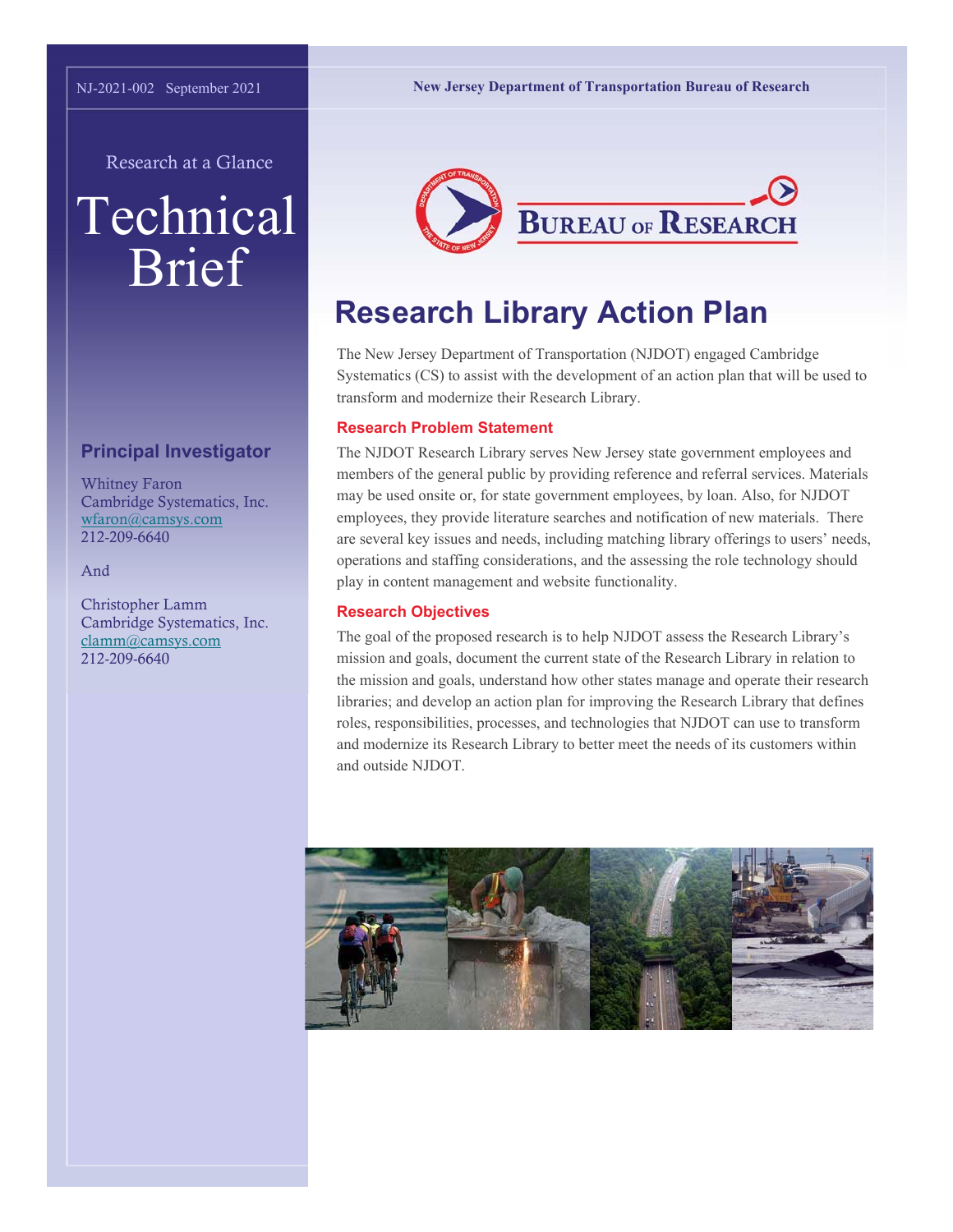**New Jersey Department of Transportation Bureau of Research** 

Research at a Glance

# Technical Brief

## **Principal Investigator**

Whitney Faron Cambridge Systematics, Inc. wfaron@camsys.com 212-209-6640

And

Christopher Lamm Cambridge Systematics, Inc. clamm@camsys.com 212-209-6640



# **Research Library Action Plan**

The New Jersey Department of Transportation (NJDOT) engaged Cambridge Systematics (CS) to assist with the development of an action plan that will be used to transform and modernize their Research Library.

#### **Research Problem Statement**

The NJDOT Research Library serves New Jersey state government employees and members of the general public by providing reference and referral services. Materials may be used onsite or, for state government employees, by loan. Also, for NJDOT employees, they provide literature searches and notification of new materials. There are several key issues and needs, including matching library offerings to users' needs, operations and staffing considerations, and the assessing the role technology should play in content management and website functionality.

#### **Research Objectives**

The goal of the proposed research is to help NJDOT assess the Research Library's mission and goals, document the current state of the Research Library in relation to the mission and goals, understand how other states manage and operate their research libraries; and develop an action plan for improving the Research Library that defines roles, responsibilities, processes, and technologies that NJDOT can use to transform and modernize its Research Library to better meet the needs of its customers within and outside NJDOT.